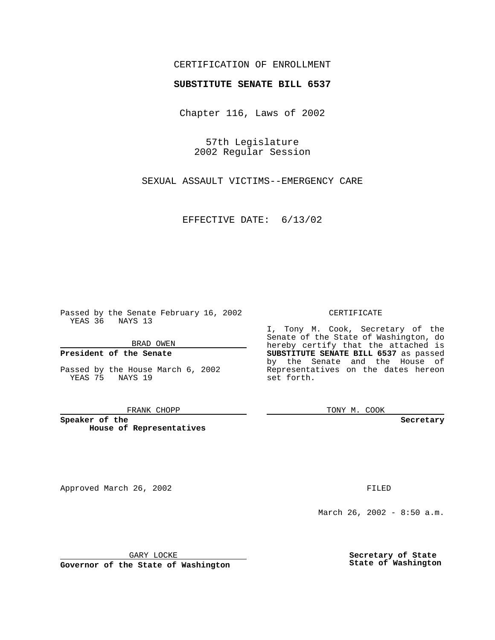## CERTIFICATION OF ENROLLMENT

# **SUBSTITUTE SENATE BILL 6537**

Chapter 116, Laws of 2002

57th Legislature 2002 Regular Session

SEXUAL ASSAULT VICTIMS--EMERGENCY CARE

EFFECTIVE DATE: 6/13/02

Passed by the Senate February 16, 2002 YEAS 36 NAYS 13

BRAD OWEN

### **President of the Senate**

Passed by the House March 6, 2002 YEAS 75 NAYS 19

#### FRANK CHOPP

**Speaker of the House of Representatives**

Approved March 26, 2002 **FILED** 

### CERTIFICATE

I, Tony M. Cook, Secretary of the Senate of the State of Washington, do hereby certify that the attached is **SUBSTITUTE SENATE BILL 6537** as passed by the Senate and the House of Representatives on the dates hereon set forth.

TONY M. COOK

**Secretary**

March 26, 2002 - 8:50 a.m.

GARY LOCKE

**Governor of the State of Washington**

**Secretary of State State of Washington**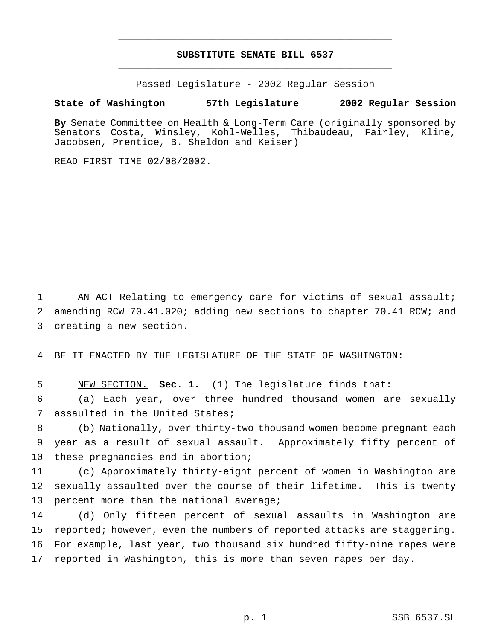## **SUBSTITUTE SENATE BILL 6537** \_\_\_\_\_\_\_\_\_\_\_\_\_\_\_\_\_\_\_\_\_\_\_\_\_\_\_\_\_\_\_\_\_\_\_\_\_\_\_\_\_\_\_\_\_\_\_

\_\_\_\_\_\_\_\_\_\_\_\_\_\_\_\_\_\_\_\_\_\_\_\_\_\_\_\_\_\_\_\_\_\_\_\_\_\_\_\_\_\_\_\_\_\_\_

Passed Legislature - 2002 Regular Session

### **State of Washington 57th Legislature 2002 Regular Session**

**By** Senate Committee on Health & Long-Term Care (originally sponsored by Senators Costa, Winsley, Kohl-Welles, Thibaudeau, Fairley, Kline, Jacobsen, Prentice, B. Sheldon and Keiser)

READ FIRST TIME 02/08/2002.

1 AN ACT Relating to emergency care for victims of sexual assault; 2 amending RCW 70.41.020; adding new sections to chapter 70.41 RCW; and 3 creating a new section.

4 BE IT ENACTED BY THE LEGISLATURE OF THE STATE OF WASHINGTON:

5 NEW SECTION. **Sec. 1.** (1) The legislature finds that:

6 (a) Each year, over three hundred thousand women are sexually 7 assaulted in the United States;

8 (b) Nationally, over thirty-two thousand women become pregnant each 9 year as a result of sexual assault. Approximately fifty percent of 10 these pregnancies end in abortion;

11 (c) Approximately thirty-eight percent of women in Washington are 12 sexually assaulted over the course of their lifetime. This is twenty 13 percent more than the national average;

 (d) Only fifteen percent of sexual assaults in Washington are reported; however, even the numbers of reported attacks are staggering. For example, last year, two thousand six hundred fifty-nine rapes were reported in Washington, this is more than seven rapes per day.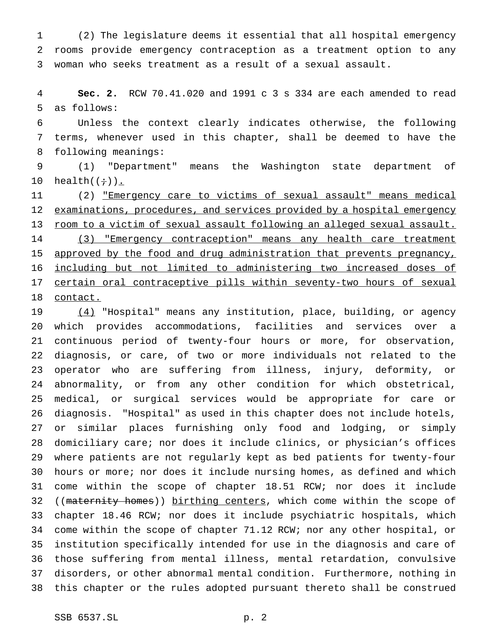(2) The legislature deems it essential that all hospital emergency rooms provide emergency contraception as a treatment option to any woman who seeks treatment as a result of a sexual assault.

 **Sec. 2.** RCW 70.41.020 and 1991 c 3 s 334 are each amended to read as follows:

 Unless the context clearly indicates otherwise, the following terms, whenever used in this chapter, shall be deemed to have the following meanings:

 (1) "Department" means the Washington state department of 10 health $((\div))$ .

 (2) "Emergency care to victims of sexual assault" means medical examinations, procedures, and services provided by a hospital emergency 13 room to a victim of sexual assault following an alleged sexual assault. (3) "Emergency contraception" means any health care treatment approved by the food and drug administration that prevents pregnancy, including but not limited to administering two increased doses of 17 certain oral contraceptive pills within seventy-two hours of sexual contact.

 (4) "Hospital" means any institution, place, building, or agency which provides accommodations, facilities and services over a continuous period of twenty-four hours or more, for observation, diagnosis, or care, of two or more individuals not related to the operator who are suffering from illness, injury, deformity, or abnormality, or from any other condition for which obstetrical, medical, or surgical services would be appropriate for care or diagnosis. "Hospital" as used in this chapter does not include hotels, or similar places furnishing only food and lodging, or simply domiciliary care; nor does it include clinics, or physician's offices where patients are not regularly kept as bed patients for twenty-four hours or more; nor does it include nursing homes, as defined and which come within the scope of chapter 18.51 RCW; nor does it include 32 ((maternity homes)) birthing centers, which come within the scope of chapter 18.46 RCW; nor does it include psychiatric hospitals, which come within the scope of chapter 71.12 RCW; nor any other hospital, or institution specifically intended for use in the diagnosis and care of those suffering from mental illness, mental retardation, convulsive disorders, or other abnormal mental condition. Furthermore, nothing in this chapter or the rules adopted pursuant thereto shall be construed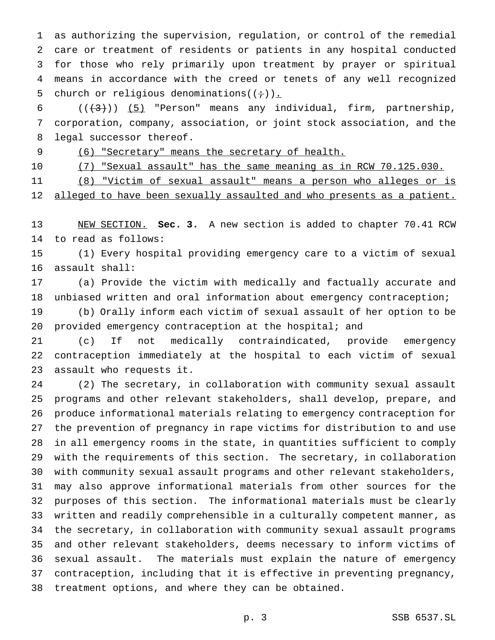as authorizing the supervision, regulation, or control of the remedial care or treatment of residents or patients in any hospital conducted for those who rely primarily upon treatment by prayer or spiritual means in accordance with the creed or tenets of any well recognized 5 church or religious denominations( $(+)$ ).

6  $((+3))$   $(5)$  "Person" means any individual, firm, partnership, corporation, company, association, or joint stock association, and the legal successor thereof.

9 (6) "Secretary" means the secretary of health.

(7) "Sexual assault" has the same meaning as in RCW 70.125.030.

(8) "Victim of sexual assault" means a person who alleges or is

12 alleged to have been sexually assaulted and who presents as a patient.

 NEW SECTION. **Sec. 3.** A new section is added to chapter 70.41 RCW to read as follows:

 (1) Every hospital providing emergency care to a victim of sexual assault shall:

 (a) Provide the victim with medically and factually accurate and unbiased written and oral information about emergency contraception;

 (b) Orally inform each victim of sexual assault of her option to be provided emergency contraception at the hospital; and

 (c) If not medically contraindicated, provide emergency contraception immediately at the hospital to each victim of sexual assault who requests it.

 (2) The secretary, in collaboration with community sexual assault programs and other relevant stakeholders, shall develop, prepare, and produce informational materials relating to emergency contraception for the prevention of pregnancy in rape victims for distribution to and use in all emergency rooms in the state, in quantities sufficient to comply with the requirements of this section. The secretary, in collaboration with community sexual assault programs and other relevant stakeholders, may also approve informational materials from other sources for the purposes of this section. The informational materials must be clearly written and readily comprehensible in a culturally competent manner, as the secretary, in collaboration with community sexual assault programs and other relevant stakeholders, deems necessary to inform victims of sexual assault. The materials must explain the nature of emergency contraception, including that it is effective in preventing pregnancy, treatment options, and where they can be obtained.